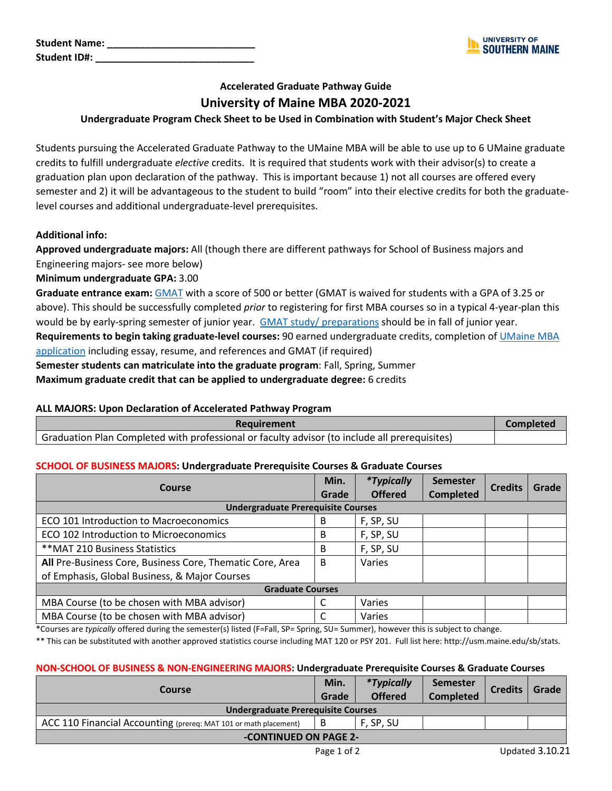| <b>Student Name:</b> |  |
|----------------------|--|
| <b>Student ID#:</b>  |  |



# **Accelerated Graduate Pathway Guide University of Maine MBA 2020-2021**

### **Undergraduate Program Check Sheet to be Used in Combination with Student's Major Check Sheet**

Students pursuing the Accelerated Graduate Pathway to the UMaine MBA will be able to use up to 6 UMaine graduate credits to fulfill undergraduate *elective* credits. It is required that students work with their advisor(s) to create a graduation plan upon declaration of the pathway. This is important because 1) not all courses are offered every semester and 2) it will be advantageous to the student to build "room" into their elective credits for both the graduatelevel courses and additional undergraduate-level prerequisites.

#### **Additional info:**

**Approved undergraduate majors:** All (though there are different pathways for School of Business majors and Engineering majors- see more below)

**Minimum undergraduate GPA:** 3.00

**Graduate entrance exam:** [GMAT](https://www.mba.com/exams/gmat) with a score of 500 or better (GMAT is waived for students with a GPA of 3.25 or above). This should be successfully completed *prior* to registering for first MBA courses so in a typical 4-year-plan this would be by early-spring semester of junior year. [GMAT study/ preparations](https://www.mba.com/exams/gmat/before-the-exam/perform-your-best-on-test-day) should be in fall of junior year. **Requirements to begin taking graduate-level courses:** 90 earned undergraduate credits, completion of [UMaine MBA](https://umainegradschool.force.com/onlineApp/TX_SiteLogin?startURL=%2FonlineApp%2FTargetX_Portal__PB) 

[application](https://umainegradschool.force.com/onlineApp/TX_SiteLogin?startURL=%2FonlineApp%2FTargetX_Portal__PB) including essay, resume, and references and GMAT (if required)

**Semester students can matriculate into the graduate program**: Fall, Spring, Summer

**Maximum graduate credit that can be applied to undergraduate degree:** 6 credits

#### **ALL MAJORS: Upon Declaration of Accelerated Pathway Program**

| Requirement                                                                                   |  |
|-----------------------------------------------------------------------------------------------|--|
| Graduation Plan Completed with professional or faculty advisor (to include all prerequisites) |  |

#### **SCHOOL OF BUSINESS MAJORS: Undergraduate Prerequisite Courses & Graduate Courses**

| Course                                                    | Min.<br>Grade | *Typically<br><b>Offered</b> | <b>Semester</b><br><b>Completed</b> | <b>Credits</b> | Grade |
|-----------------------------------------------------------|---------------|------------------------------|-------------------------------------|----------------|-------|
| <b>Undergraduate Prerequisite Courses</b>                 |               |                              |                                     |                |       |
| ECO 101 Introduction to Macroeconomics                    | B             | F, SP, SU                    |                                     |                |       |
| ECO 102 Introduction to Microeconomics                    |               | F, SP, SU                    |                                     |                |       |
| ** MAT 210 Business Statistics                            |               | F, SP, SU                    |                                     |                |       |
| All Pre-Business Core, Business Core, Thematic Core, Area |               | Varies                       |                                     |                |       |
| of Emphasis, Global Business, & Major Courses             |               |                              |                                     |                |       |
| <b>Graduate Courses</b>                                   |               |                              |                                     |                |       |
| MBA Course (to be chosen with MBA advisor)                | C             | Varies                       |                                     |                |       |
| MBA Course (to be chosen with MBA advisor)                |               | Varies                       |                                     |                |       |

\*Courses are *typically* offered during the semester(s) listed (F=Fall, SP= Spring, SU= Summer), however this is subject to change.

\*\* This can be substituted with another approved statistics course including MAT 120 or PSY 201. Full list here: http://usm.maine.edu/sb/stats.

#### **NON-SCHOOL OF BUSINESS & NON-ENGINEERING MAJORS: Undergraduate Prerequisite Courses & Graduate Courses**

| <b>Course</b>                                                    | Min.<br>Grade | <i>*Typically</i><br><b>Offered</b> | <b>Semester</b><br><b>Completed</b> | <b>Credits</b> | Grade |
|------------------------------------------------------------------|---------------|-------------------------------------|-------------------------------------|----------------|-------|
| <b>Undergraduate Prerequisite Courses</b>                        |               |                                     |                                     |                |       |
| ACC 110 Financial Accounting (prereq: MAT 101 or math placement) | B             | F. SP. SU                           |                                     |                |       |
| -CONTINUED ON PAGE 2-                                            |               |                                     |                                     |                |       |